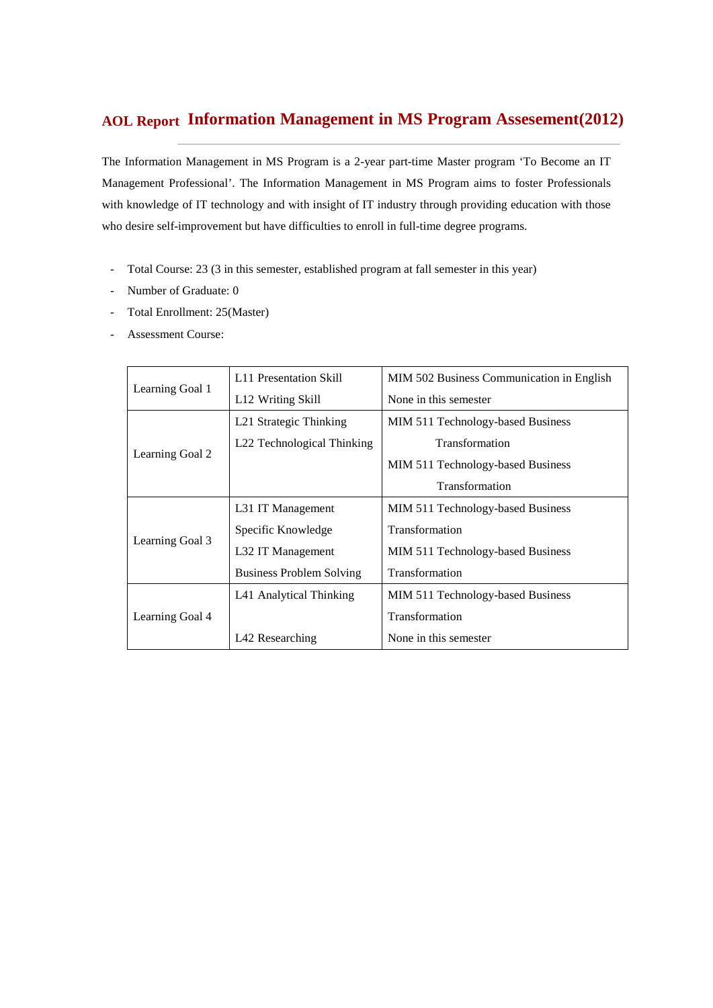## **Information Management in MS Program Assesement(2012) AOL Report**

The Information Management in MS Program is a 2-year part-time Master program 'To Become an IT Management Professional'. The Information Management in MS Program aims to foster Professionals with knowledge of IT technology and with insight of IT industry through providing education with those who desire self-improvement but have difficulties to enroll in full-time degree programs.

- Total Course: 23 (3 in this semester, established program at fall semester in this year)
- Number of Graduate: 0
- Total Enrollment: 25(Master)
- Assessment Course:

|                 | L11 Presentation Skill          | MIM 502 Business Communication in English |
|-----------------|---------------------------------|-------------------------------------------|
| Learning Goal 1 | L <sub>12</sub> Writing Skill   | None in this semester                     |
|                 | L21 Strategic Thinking          | MIM 511 Technology-based Business         |
|                 | L22 Technological Thinking      | Transformation                            |
| Learning Goal 2 |                                 | MIM 511 Technology-based Business         |
|                 |                                 | Transformation                            |
|                 | L31 IT Management               | MIM 511 Technology-based Business         |
| Learning Goal 3 | Specific Knowledge              | <b>Transformation</b>                     |
|                 | L32 IT Management               | MIM 511 Technology-based Business         |
|                 | <b>Business Problem Solving</b> | Transformation                            |
|                 | L41 Analytical Thinking         | MIM 511 Technology-based Business         |
| Learning Goal 4 |                                 | Transformation                            |
|                 | L42 Researching                 | None in this semester                     |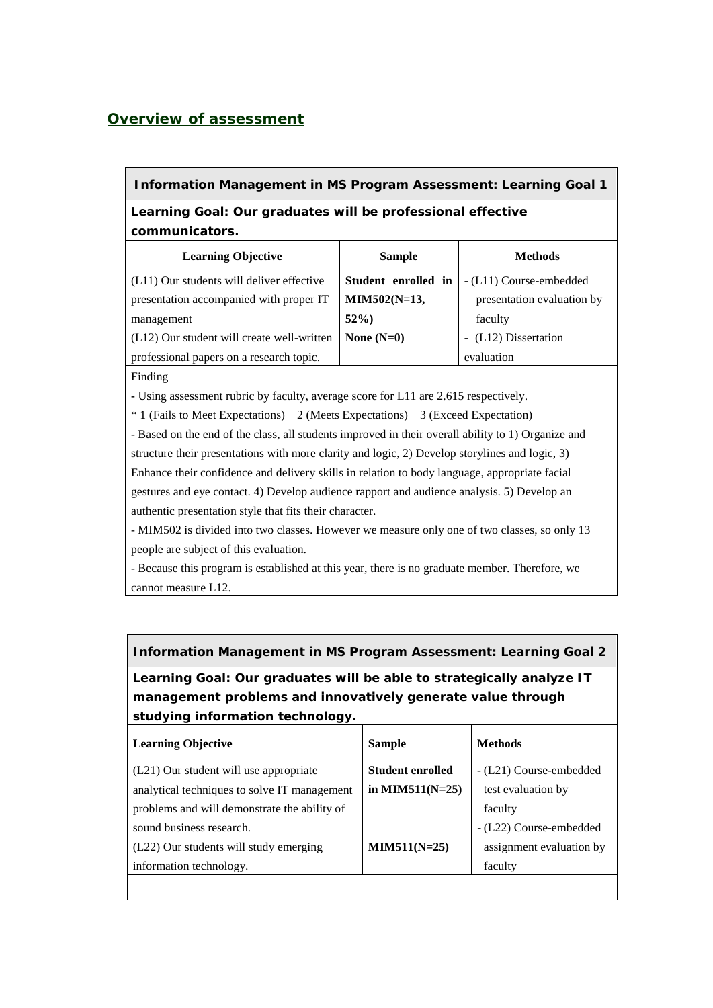### *Overview of assessment*

### **Information Management in MS Program Assessment: Learning Goal 1**

**Learning Goal: Our graduates will be professional effective communicators.**

| <b>Learning Objective</b>                  | <b>Sample</b>       | <b>Methods</b>             |
|--------------------------------------------|---------------------|----------------------------|
| (L11) Our students will deliver effective  | Student enrolled in | - (L11) Course-embedded    |
| presentation accompanied with proper IT    | MIM502(N=13,        | presentation evaluation by |
| management                                 | $52\%$              | faculty                    |
| (L12) Our student will create well-written | None $(N=0)$        | - (L12) Dissertation       |
| professional papers on a research topic.   |                     | evaluation                 |

Finding

**-** Using assessment rubric by faculty, average score for L11 are 2.615 respectively.

\* 1 (Fails to Meet Expectations) 2 (Meets Expectations) 3 (Exceed Expectation)

- Based on the end of the class, all students improved in their overall ability to 1) Organize and structure their presentations with more clarity and logic, 2) Develop storylines and logic, 3) Enhance their confidence and delivery skills in relation to body language, appropriate facial gestures and eye contact. 4) Develop audience rapport and audience analysis. 5) Develop an authentic presentation style that fits their character.

- MIM502 is divided into two classes. However we measure only one of two classes, so only 13 people are subject of this evaluation.

- Because this program is established at this year, there is no graduate member. Therefore, we cannot measure L12.

#### **Information Management in MS Program Assessment: Learning Goal 2**

**Learning Goal: Our graduates will be able to strategically analyze IT management problems and innovatively generate value through studying information technology.** 

| <b>Learning Objective</b>                    | <b>Sample</b>           | <b>Methods</b>           |
|----------------------------------------------|-------------------------|--------------------------|
| (L21) Our student will use appropriate       | <b>Student enrolled</b> | - (L21) Course-embedded  |
| analytical techniques to solve IT management | in MIM511( $N=25$ )     | test evaluation by       |
| problems and will demonstrate the ability of |                         | faculty                  |
| sound business research.                     |                         | - (L22) Course-embedded  |
| (L22) Our students will study emerging       | $MIN511(N=25)$          | assignment evaluation by |
| information technology.                      |                         | faculty                  |
|                                              |                         |                          |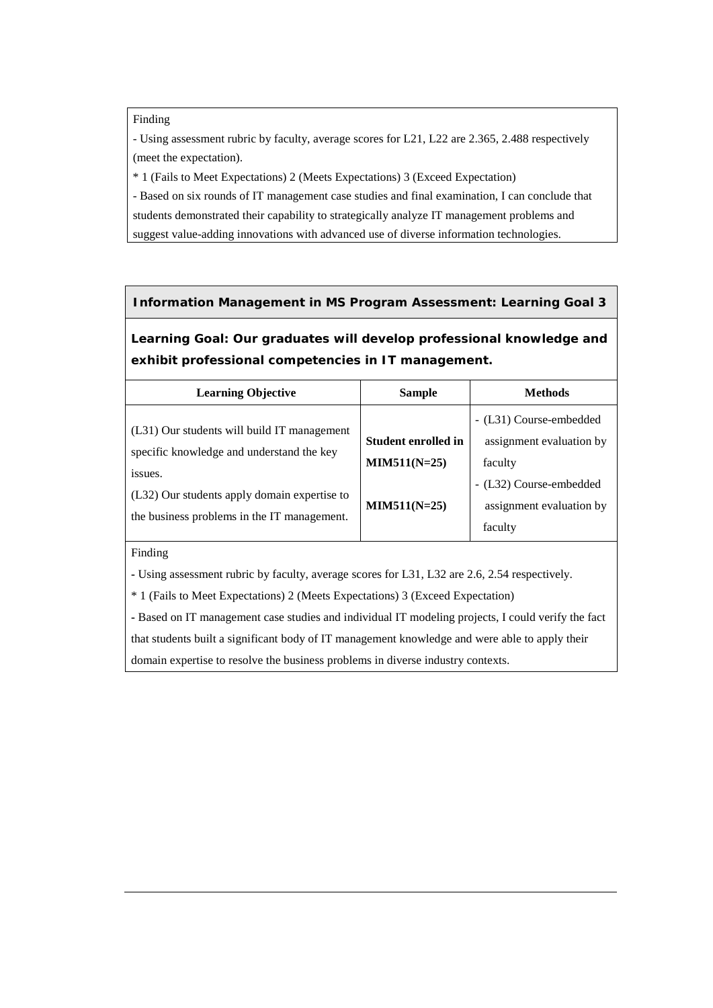#### Finding

- Using assessment rubric by faculty, average scores for L21, L22 are 2.365, 2.488 respectively (meet the expectation).

\* 1 (Fails to Meet Expectations) 2 (Meets Expectations) 3 (Exceed Expectation)

- Based on six rounds of IT management case studies and final examination, I can conclude that

students demonstrated their capability to strategically analyze IT management problems and

suggest value-adding innovations with advanced use of diverse information technologies.

#### **Information Management in MS Program Assessment: Learning Goal 3**

**Learning Goal: Our graduates will develop professional knowledge and exhibit professional competencies in IT management.**

| <b>Learning Objective</b>                                                                                                                           | <b>Sample</b>                                | <b>Methods</b>                                                 |
|-----------------------------------------------------------------------------------------------------------------------------------------------------|----------------------------------------------|----------------------------------------------------------------|
| (L31) Our students will build IT management                                                                                                         |                                              | - (L31) Course-embedded                                        |
| specific knowledge and understand the key<br>issues.<br>(L32) Our students apply domain expertise to<br>the business problems in the IT management. | <b>Student enrolled in</b><br>$MIN511(N=25)$ | assignment evaluation by<br>faculty                            |
|                                                                                                                                                     | $MIN511(N=25)$                               | - (L32) Course-embedded<br>assignment evaluation by<br>faculty |

#### Finding

**-** Using assessment rubric by faculty, average scores for L31, L32 are 2.6, 2.54 respectively.

\* 1 (Fails to Meet Expectations) 2 (Meets Expectations) 3 (Exceed Expectation)

**-** Based on IT management case studies and individual IT modeling projects, I could verify the fact that students built a significant body of IT management knowledge and were able to apply their domain expertise to resolve the business problems in diverse industry contexts.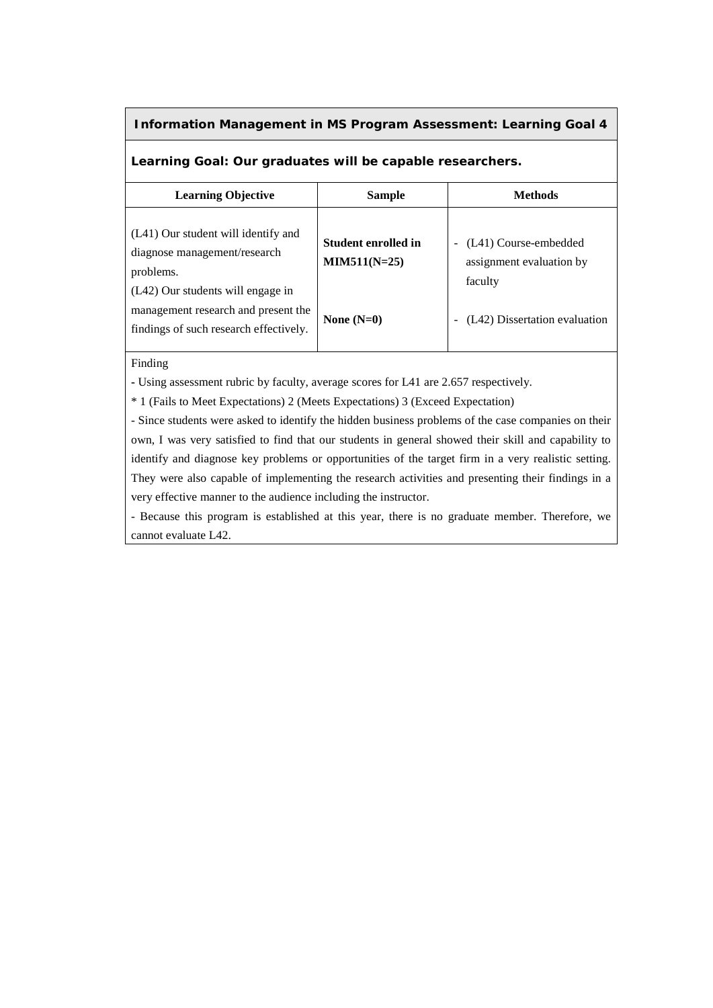#### **Information Management in MS Program Assessment: Learning Goal 4**

#### **Learning Goal: Our graduates will be capable researchers.**

| <b>Learning Objective</b>                                                                                          | Sample                                | <b>Methods</b>                                               |
|--------------------------------------------------------------------------------------------------------------------|---------------------------------------|--------------------------------------------------------------|
| (L41) Our student will identify and<br>diagnose management/research<br>problems.                                   | Student enrolled in<br>$MIN511(N=25)$ | (L41) Course-embedded<br>assignment evaluation by<br>faculty |
| (L42) Our students will engage in<br>management research and present the<br>findings of such research effectively. | None $(N=0)$                          | (L42) Dissertation evaluation                                |

#### Finding

**-** Using assessment rubric by faculty, average scores for L41 are 2.657 respectively.

\* 1 (Fails to Meet Expectations) 2 (Meets Expectations) 3 (Exceed Expectation)

- Since students were asked to identify the hidden business problems of the case companies on their own, I was very satisfied to find that our students in general showed their skill and capability to identify and diagnose key problems or opportunities of the target firm in a very realistic setting. They were also capable of implementing the research activities and presenting their findings in a very effective manner to the audience including the instructor.

- Because this program is established at this year, there is no graduate member. Therefore, we cannot evaluate L42.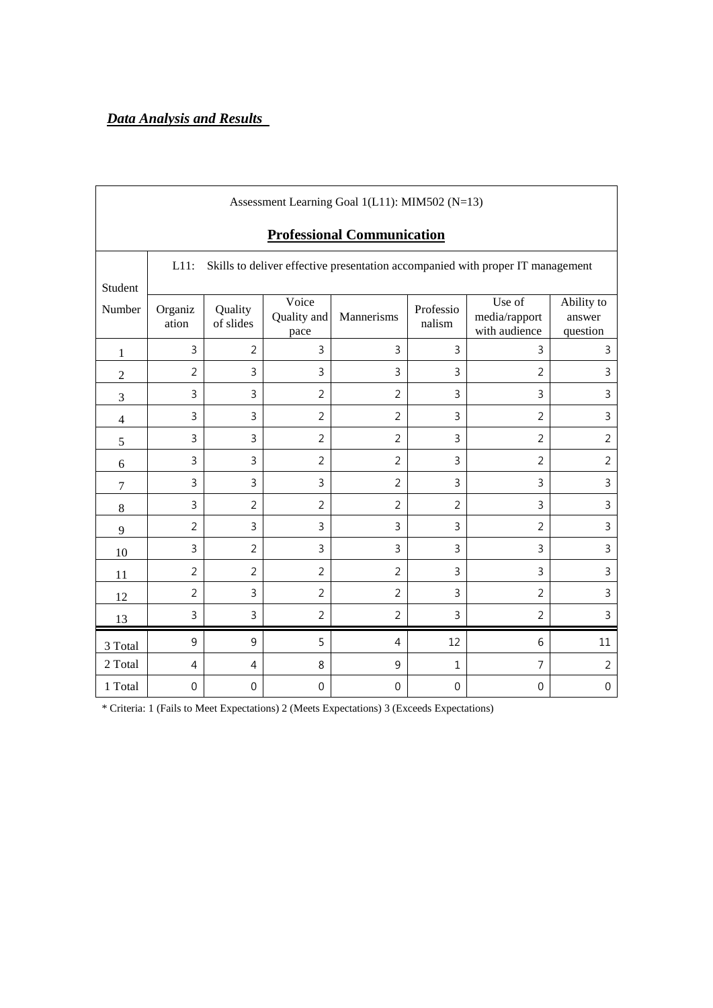# *Data Analysis and Results*

| Assessment Learning Goal 1(L11): MIM502 (N=13) |                                                                                           |                      |                              |                |                     |                                          |                                  |  |
|------------------------------------------------|-------------------------------------------------------------------------------------------|----------------------|------------------------------|----------------|---------------------|------------------------------------------|----------------------------------|--|
|                                                | <b>Professional Communication</b>                                                         |                      |                              |                |                     |                                          |                                  |  |
| Student                                        | Skills to deliver effective presentation accompanied with proper IT management<br>$L11$ : |                      |                              |                |                     |                                          |                                  |  |
| Number                                         | Organiz<br>ation                                                                          | Quality<br>of slides | Voice<br>Quality and<br>pace | Mannerisms     | Professio<br>nalism | Use of<br>media/rapport<br>with audience | Ability to<br>answer<br>question |  |
| $\mathbf{1}$                                   | 3                                                                                         | $\overline{2}$       | 3                            | 3              | 3                   | 3                                        | 3                                |  |
| $\boldsymbol{2}$                               | $\overline{2}$                                                                            | $\overline{3}$       | 3                            | 3              | 3                   | $\overline{2}$                           | 3                                |  |
| 3                                              | $\overline{3}$                                                                            | $\overline{3}$       | $\overline{2}$               | $\overline{2}$ | 3                   | 3                                        | 3                                |  |
| 4                                              | $\overline{3}$                                                                            | $\overline{3}$       | $\overline{2}$               | $\overline{2}$ | 3                   | $\overline{2}$                           | 3                                |  |
| 5                                              | 3                                                                                         | $\overline{3}$       | 2                            | $\overline{2}$ | 3                   | 2                                        | $\overline{2}$                   |  |
| 6                                              | $\overline{3}$                                                                            | $\overline{3}$       | $\overline{2}$               | $\overline{2}$ | 3                   | $\overline{2}$                           | $\overline{2}$                   |  |
| $\boldsymbol{7}$                               | 3                                                                                         | $\overline{3}$       | 3                            | $\overline{2}$ | $\overline{3}$      | 3                                        | 3                                |  |
| $\,8\,$                                        | 3                                                                                         | $\overline{2}$       | $\overline{2}$               | $\overline{2}$ | $\overline{2}$      | 3                                        | 3                                |  |
| 9                                              | $\overline{2}$                                                                            | $\overline{3}$       | 3                            | $\overline{3}$ | $\overline{3}$      | $\overline{2}$                           | 3                                |  |
| 10                                             | 3                                                                                         | $\overline{2}$       | 3                            | $\overline{3}$ | 3                   | 3                                        | 3                                |  |
| 11                                             | $\overline{2}$                                                                            | $\overline{2}$       | $\overline{2}$               | $\overline{2}$ | 3                   | 3                                        | 3                                |  |
| 12                                             | $\overline{2}$                                                                            | $\overline{3}$       | $\overline{2}$               | $\overline{2}$ | 3                   | $\overline{2}$                           | 3                                |  |
| 13                                             | 3                                                                                         | $\mathsf{3}$         | $\overline{2}$               | $\overline{2}$ | 3                   | $\overline{2}$                           | 3                                |  |
| 3 Total                                        | 9                                                                                         | 9                    | 5                            | 4              | 12                  | 6                                        | 11                               |  |
| 2 Total                                        | $\overline{4}$                                                                            | $\overline{4}$       | 8                            | 9              | $\mathbf{1}$        | 7                                        | $\overline{2}$                   |  |
| 1 Total                                        | $\mathbf 0$                                                                               | $\mathbf 0$          | $\mathbf 0$                  | 0              | 0                   | $\mathbf 0$                              | $\mathbf 0$                      |  |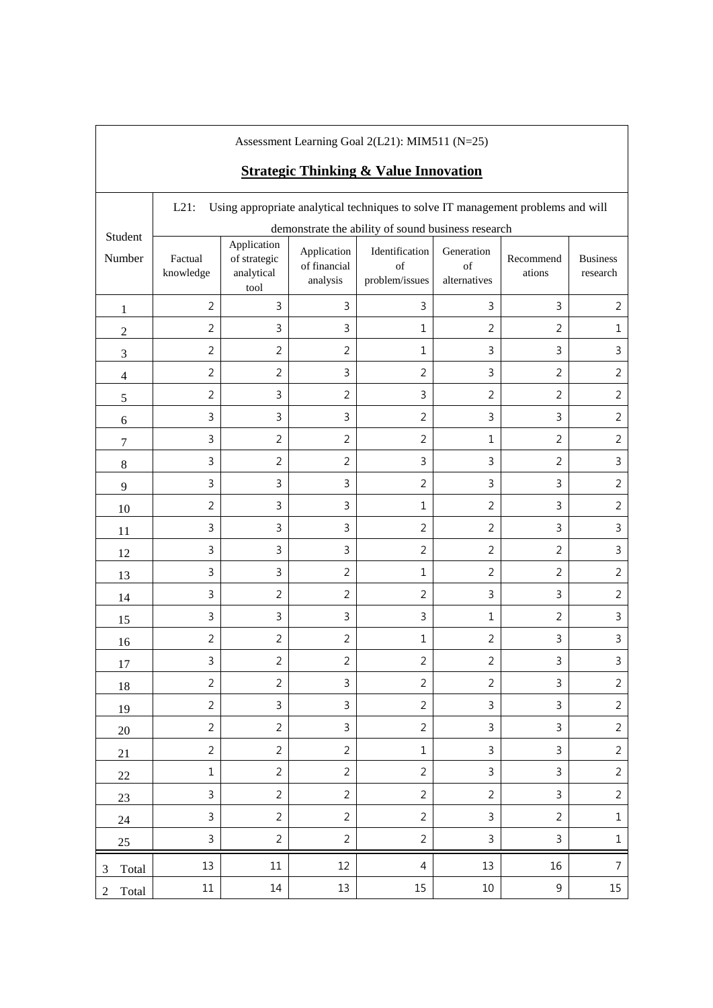|                | Assessment Learning Goal 2(L21): MIM511 (N=25)<br><b>Strategic Thinking &amp; Value Innovation</b> |                                                   |                                         |                                                                                  |                                  |                     |                             |
|----------------|----------------------------------------------------------------------------------------------------|---------------------------------------------------|-----------------------------------------|----------------------------------------------------------------------------------|----------------------------------|---------------------|-----------------------------|
|                | $L21$ :                                                                                            |                                                   |                                         | Using appropriate analytical techniques to solve IT management problems and will |                                  |                     |                             |
| Student        |                                                                                                    |                                                   |                                         | demonstrate the ability of sound business research                               |                                  |                     |                             |
| Number         | Factual<br>knowledge                                                                               | Application<br>of strategic<br>analytical<br>tool | Application<br>of financial<br>analysis | Identification<br>of<br>problem/issues                                           | Generation<br>of<br>alternatives | Recommend<br>ations | <b>Business</b><br>research |
| $\mathbf{1}$   | $\overline{2}$                                                                                     | 3                                                 | 3                                       | 3                                                                                | 3                                | $\mathbf{3}$        | $\overline{2}$              |
| $\overline{2}$ | $\overline{2}$                                                                                     | 3                                                 | 3                                       | $\mathbf{1}$                                                                     | $\overline{2}$                   | $\overline{2}$      | 1                           |
| $\mathfrak{Z}$ | $\overline{2}$                                                                                     | $\overline{2}$                                    | $\overline{2}$                          | $\mathbf 1$                                                                      | 3                                | 3                   | 3                           |
| $\overline{4}$ | $\overline{2}$                                                                                     | $\overline{2}$                                    | 3                                       | $\overline{2}$                                                                   | 3                                | $\overline{2}$      | $\overline{2}$              |
| $\mathfrak s$  | $\overline{2}$                                                                                     | 3                                                 | $\overline{2}$                          | 3                                                                                | $\overline{2}$                   | $\overline{2}$      | $\overline{2}$              |
| 6              | 3                                                                                                  | 3                                                 | 3                                       | $\overline{2}$                                                                   | $\overline{3}$                   | 3                   | $\overline{2}$              |
| 7              | 3                                                                                                  | $\overline{2}$                                    | $\overline{2}$                          | $\overline{2}$                                                                   | $\mathbf{1}$                     | $\overline{2}$      | $\overline{2}$              |
| $8\,$          | 3                                                                                                  | $\overline{2}$                                    | $\overline{2}$                          | 3                                                                                | 3                                | $\overline{2}$      | 3                           |
| 9              | 3                                                                                                  | 3                                                 | 3                                       | $\overline{2}$                                                                   | 3                                | 3                   | $\overline{2}$              |
| 10             | $\overline{2}$                                                                                     | 3                                                 | 3                                       | $\mathbf{1}$                                                                     | 2                                | 3                   | $\overline{2}$              |
| 11             | 3                                                                                                  | 3                                                 | 3                                       | $\overline{2}$                                                                   | $\overline{2}$                   | 3                   | 3                           |
| 12             | 3                                                                                                  | 3                                                 | 3                                       | $\overline{2}$                                                                   | $\overline{2}$                   | $\overline{2}$      | $\mathsf{3}$                |
| 13             | 3                                                                                                  | 3                                                 | $\overline{2}$                          | $\mathbf{1}$                                                                     | $\overline{2}$                   | $\overline{2}$      | $\overline{2}$              |
| 14             | 3                                                                                                  | $\overline{2}$                                    | $\overline{2}$                          | $\overline{2}$                                                                   | $\mathsf{3}$                     | 3                   | $\overline{2}$              |
| 15             | 3                                                                                                  | 3                                                 | 3                                       | 3                                                                                | $\mathbf{1}$                     | $\overline{2}$      | 3                           |
| 16             | $\overline{2}$                                                                                     | $\overline{2}$                                    | $\overline{2}$                          | $\mathbf{1}$                                                                     | $\overline{2}$                   | 3                   | 3                           |
| 17             | 3                                                                                                  | $\overline{2}$                                    | $\overline{2}$                          | $\overline{2}$                                                                   | $\overline{2}$                   | 3                   | 3                           |
| 18             | $\overline{2}$                                                                                     | $\overline{2}$                                    | 3                                       | $\overline{2}$                                                                   | $\overline{2}$                   | $\mathsf{3}$        | $\overline{2}$              |
| 19             | $\overline{2}$                                                                                     | $\mathbf{3}$                                      | 3                                       | $\overline{2}$                                                                   | $\mathsf{3}$                     | $\mathsf{3}$        | $\overline{2}$              |
| 20             | $\overline{2}$                                                                                     | $\overline{2}$                                    | $\mathbf{3}$                            | $\overline{2}$                                                                   | $\mathbf{3}$                     | $\mathsf{3}$        | $\overline{2}$              |
| 21             | $\overline{2}$                                                                                     | $\overline{2}$                                    | $\overline{2}$                          | $\mathbf{1}$                                                                     | 3                                | 3                   | $\overline{c}$              |
| $22\,$         | $\mathbf 1$                                                                                        | $\overline{2}$                                    | $\overline{2}$                          | $\overline{2}$                                                                   | $\mathsf{3}$                     | $\mathsf{3}$        | $\overline{2}$              |
| $23\,$         | 3                                                                                                  | $\overline{2}$                                    | $\overline{2}$                          | $\overline{2}$                                                                   | $\overline{2}$                   | 3                   | $\overline{2}$              |
| 24             | $\mathsf{3}$                                                                                       | $\overline{2}$                                    | $\overline{2}$                          | $\overline{2}$                                                                   | 3                                | $\overline{2}$      | $\mathbf 1$                 |
| $25\,$         | $\mathsf 3$                                                                                        | $\overline{2}$                                    | $\overline{2}$                          | $\overline{2}$                                                                   | $\mathsf 3$                      | $\mathsf 3$         | $\mathbf 1$                 |
| Total<br>3     | 13                                                                                                 | $11\,$                                            | 12                                      | $\overline{4}$                                                                   | 13                               | 16                  | $\overline{7}$              |
| Total<br>2     | $11\,$                                                                                             | 14                                                | 13                                      | 15                                                                               | 10                               | $9\,$               | 15                          |

 $\mathsf{l}$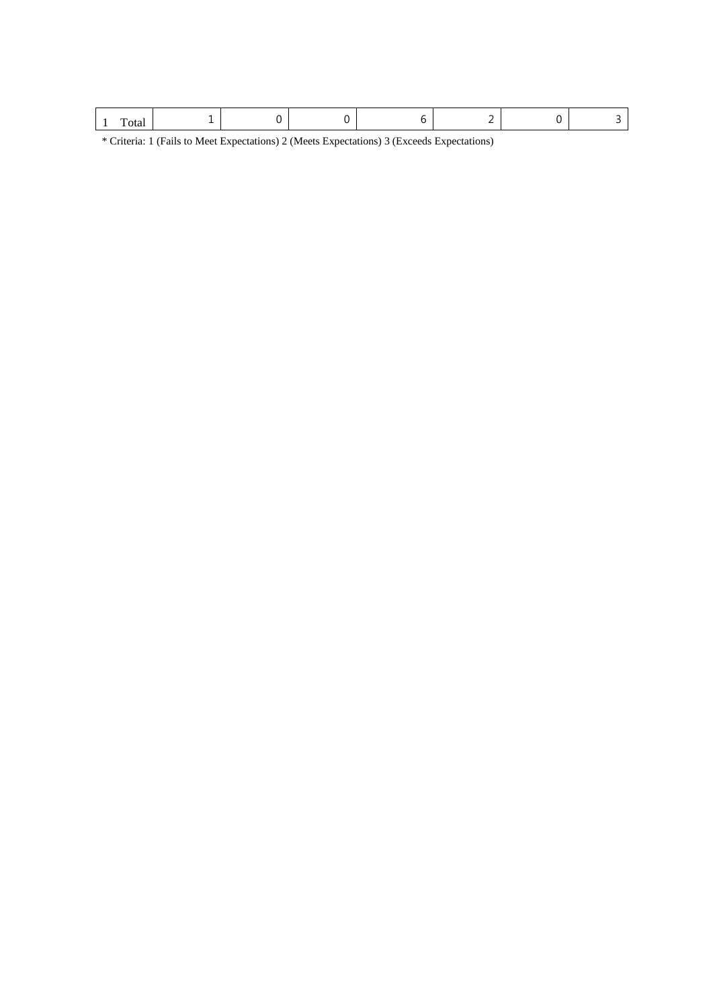| . |
|---|
|---|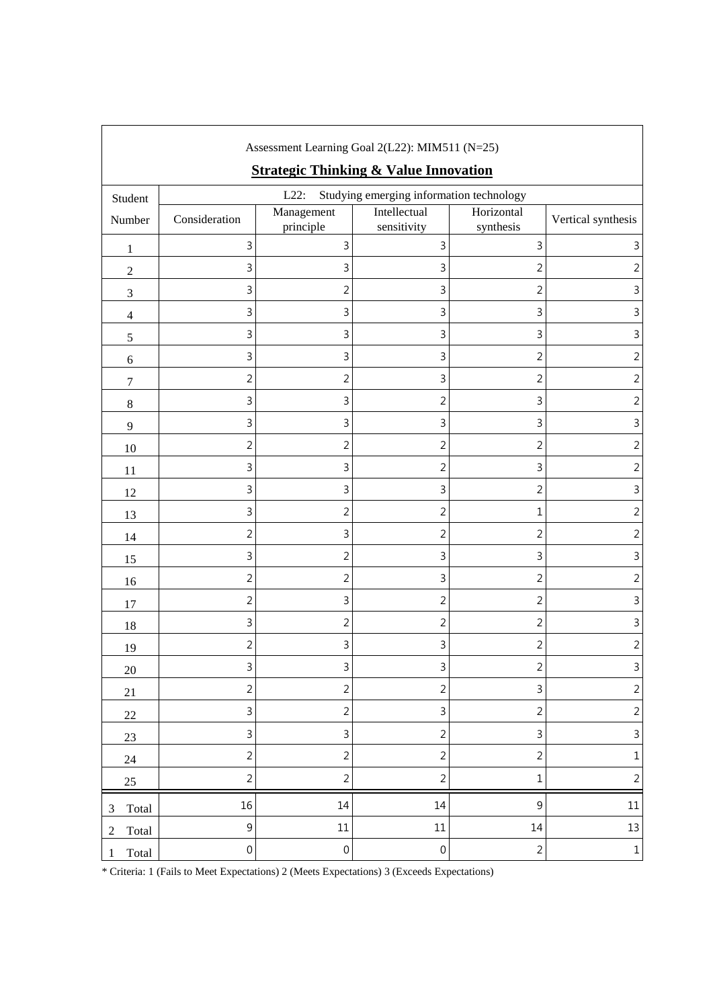| Assessment Learning Goal 2(L22): MIM511 (N=25) |                  |                         |                                                  |                         |                    |
|------------------------------------------------|------------------|-------------------------|--------------------------------------------------|-------------------------|--------------------|
|                                                |                  |                         | <b>Strategic Thinking &amp; Value Innovation</b> |                         |                    |
| Student                                        |                  | $L22$ :                 | Studying emerging information technology         |                         |                    |
| Number                                         | Consideration    | Management<br>principle | Intellectual<br>sensitivity                      | Horizontal<br>synthesis | Vertical synthesis |
| $\mathbf{1}$                                   | 3                | 3                       | 3                                                | $\overline{3}$          | 3                  |
| $\overline{c}$                                 | 3                | 3                       | 3                                                | $\overline{2}$          | $\overline{2}$     |
| 3                                              | 3                | $\overline{2}$          | 3                                                | $\overline{2}$          | 3                  |
| $\overline{\mathcal{L}}$                       | 3                | 3                       | 3                                                | 3                       | 3                  |
| $\mathfrak s$                                  | 3                | 3                       | 3                                                | 3                       | 3                  |
| 6                                              | 3                | 3                       | 3                                                | 2                       | 2                  |
| $\boldsymbol{7}$                               | $\overline{c}$   | $\overline{2}$          | 3                                                | $\overline{2}$          | 2                  |
| $\,8\,$                                        | 3                | 3                       | $\overline{2}$                                   | 3                       | $\overline{2}$     |
| 9                                              | 3                | 3                       | 3                                                | $\mathsf 3$             | 3                  |
| $10\,$                                         | $\overline{c}$   | $\overline{2}$          | 2                                                | $\sqrt{2}$              | $\overline{2}$     |
| 11                                             | 3                | 3                       | 2                                                | 3                       | $\overline{2}$     |
| 12                                             | 3                | 3                       | 3                                                | $\overline{c}$          | 3                  |
| 13                                             | 3                | $\overline{2}$          | 2                                                | $\mathbf 1$             | $\overline{2}$     |
| 14                                             | $\overline{2}$   | 3                       | 2                                                | $\overline{2}$          | 2                  |
| 15                                             | 3                | $\overline{2}$          | 3                                                | 3                       | 3                  |
| 16                                             | $\overline{c}$   | $\overline{c}$          | 3                                                | $\overline{2}$          | $\overline{2}$     |
| 17                                             | $\overline{2}$   | 3                       | 2                                                | $\overline{2}$          | 3                  |
| 18                                             | 3                | $\overline{2}$          | 2                                                | $\overline{2}$          | 3                  |
| 19                                             | $\overline{2}$   | 3                       | 3                                                | 2                       | 2                  |
| $20\,$                                         | 3                | 3                       | 3                                                | $\sqrt{2}$              | $\mathsf{3}$       |
| 21                                             | $\sqrt{2}$       | $\overline{c}$          | $\overline{2}$                                   | $\mathsf 3$             | $\sqrt{2}$         |
| $22\,$                                         | 3                | $\overline{c}$          | 3                                                | $\overline{2}$          | $\overline{c}$     |
| $23\,$                                         | $\mathsf{3}$     | 3                       | $\overline{2}$                                   | $\overline{3}$          | $\overline{3}$     |
| 24                                             | $\overline{2}$   | $\overline{c}$          | $\overline{2}$                                   | $\sqrt{2}$              | $\mathbf 1$        |
| $25\,$                                         | $\overline{2}$   | $\overline{2}$          | $\overline{2}$                                   | $\mathbf 1$             | $\overline{c}$     |
| Total<br>3                                     | 16               | 14                      | $14\,$                                           | $\mathsf 9$             | $11\,$             |
| Total<br>$\overline{c}$                        | $\mathsf 9$      | $11\,$                  | $11\,$                                           | 14                      | 13                 |
| Total<br>1                                     | $\boldsymbol{0}$ | $\boldsymbol{0}$        | $\boldsymbol{0}$                                 | $\sqrt{2}$              | $\mathbf{1}$       |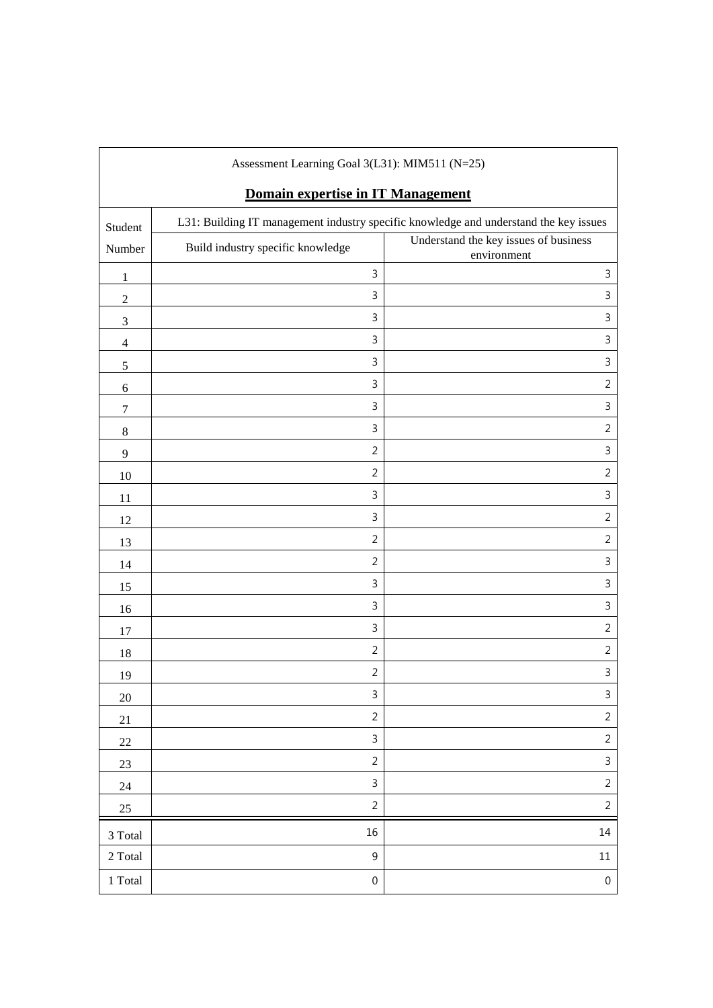| Assessment Learning Goal 3(L31): MIM511 (N=25) |                                   |                                                                                       |  |  |
|------------------------------------------------|-----------------------------------|---------------------------------------------------------------------------------------|--|--|
|                                                | Domain expertise in IT Management |                                                                                       |  |  |
| Student                                        |                                   | L31: Building IT management industry specific knowledge and understand the key issues |  |  |
| Number                                         | Build industry specific knowledge | Understand the key issues of business<br>environment                                  |  |  |
| $\mathbf{1}$                                   | 3                                 | $\mathsf 3$                                                                           |  |  |
| $\sqrt{2}$                                     | 3                                 | 3                                                                                     |  |  |
| $\ensuremath{\mathfrak{Z}}$                    | 3                                 | 3                                                                                     |  |  |
| $\overline{4}$                                 | 3                                 | 3                                                                                     |  |  |
| $\mathfrak s$                                  | 3                                 | $\mathsf 3$                                                                           |  |  |
| $\sqrt{6}$                                     | 3                                 | $\overline{2}$                                                                        |  |  |
| $\tau$                                         | 3                                 | $\mathsf{3}$                                                                          |  |  |
| $\,8\,$                                        | 3                                 | $\overline{2}$                                                                        |  |  |
| $\overline{9}$                                 | $\overline{2}$                    | 3                                                                                     |  |  |
| $10\,$                                         | $\overline{2}$                    | $\overline{2}$                                                                        |  |  |
| 11                                             | 3                                 | 3                                                                                     |  |  |
| 12                                             | 3                                 | $\overline{2}$                                                                        |  |  |
| 13                                             | $\overline{2}$                    | $\overline{2}$                                                                        |  |  |
| 14                                             | $\overline{2}$                    | $\mathsf 3$                                                                           |  |  |
| 15                                             | 3                                 | 3                                                                                     |  |  |
| 16                                             | 3                                 | 3                                                                                     |  |  |
| 17                                             | 3                                 | $\overline{2}$                                                                        |  |  |
| 18                                             | $\overline{2}$                    | $\overline{2}$                                                                        |  |  |
| 19                                             | $\overline{2}$                    | 3                                                                                     |  |  |
| $20\,$                                         | 3                                 | $\mathsf{3}$                                                                          |  |  |
| 21                                             | $\overline{2}$                    | $\overline{2}$                                                                        |  |  |
| $22\,$                                         | 3                                 | $\overline{2}$                                                                        |  |  |
| $23\,$                                         | $\overline{2}$                    | $\mathsf{3}$                                                                          |  |  |
| 24                                             | $\mathsf{3}$                      | $\overline{2}$                                                                        |  |  |
| $25\,$                                         | $\overline{2}$                    | $\overline{2}$                                                                        |  |  |
| 3 Total                                        | 16                                | 14                                                                                    |  |  |
| 2 Total                                        | $\mathsf 9$                       | $11\,$                                                                                |  |  |
| $1\ \mathrm{Total}$                            | $\boldsymbol{0}$                  | $\boldsymbol{0}$                                                                      |  |  |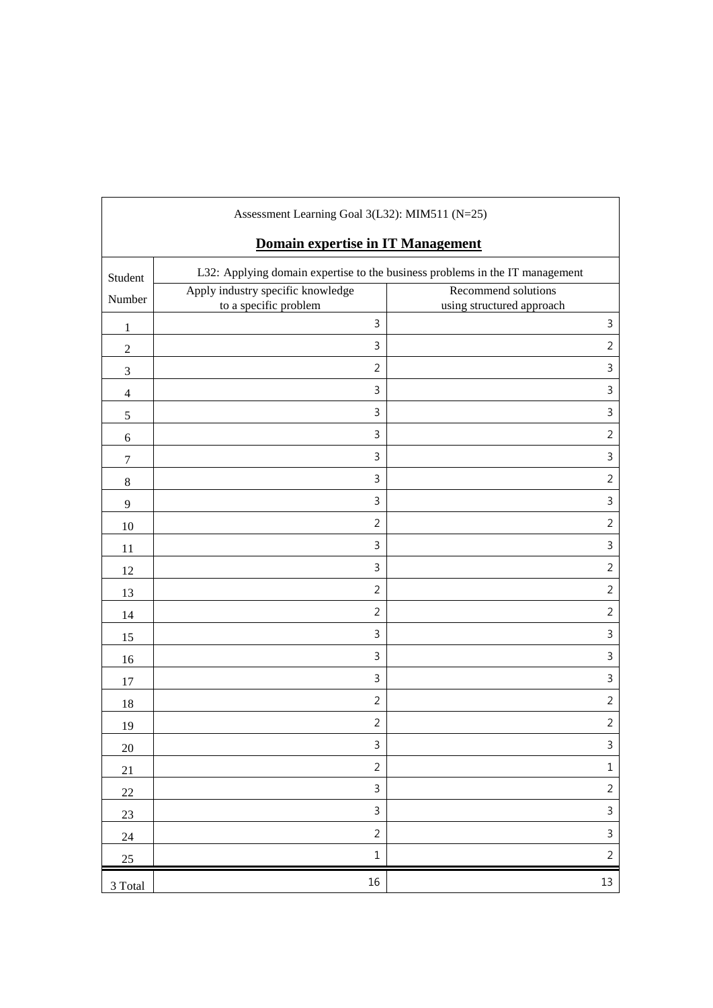| Assessment Learning Goal 3(L32): MIM511 (N=25) |                                                            |                                                                              |  |  |  |  |
|------------------------------------------------|------------------------------------------------------------|------------------------------------------------------------------------------|--|--|--|--|
|                                                | Domain expertise in IT Management                          |                                                                              |  |  |  |  |
| Student                                        |                                                            | L32: Applying domain expertise to the business problems in the IT management |  |  |  |  |
| Number                                         | Apply industry specific knowledge<br>to a specific problem | Recommend solutions<br>using structured approach                             |  |  |  |  |
| $\mathbf{1}$                                   | $\mathsf{3}$                                               | $\mathsf 3$                                                                  |  |  |  |  |
| $\boldsymbol{2}$                               | 3                                                          | $\overline{2}$                                                               |  |  |  |  |
| 3                                              | $\overline{2}$                                             | $\mathsf 3$                                                                  |  |  |  |  |
| $\overline{4}$                                 | $\mathbf{3}$                                               | $\mathsf 3$                                                                  |  |  |  |  |
| 5                                              | $\mathbf{3}$                                               | 3                                                                            |  |  |  |  |
| 6                                              | $\mathsf{3}$                                               | $\overline{2}$                                                               |  |  |  |  |
| $\tau$                                         | $\mathsf{3}$                                               | 3                                                                            |  |  |  |  |
| $\,8$                                          | $\mathsf{3}$                                               | $\overline{2}$                                                               |  |  |  |  |
| 9                                              | $\mathbf{3}$                                               | 3                                                                            |  |  |  |  |
| 10                                             | $\overline{2}$                                             | $\overline{2}$                                                               |  |  |  |  |
| 11                                             | $\mathsf{3}$                                               | 3                                                                            |  |  |  |  |
| 12                                             | $\mathsf{3}$                                               | $\overline{2}$                                                               |  |  |  |  |
| 13                                             | $\overline{2}$                                             | $\overline{2}$                                                               |  |  |  |  |
| 14                                             | $\overline{2}$                                             | $\overline{2}$                                                               |  |  |  |  |
| 15                                             | $\mathsf{3}$                                               | $\mathsf 3$                                                                  |  |  |  |  |
| 16                                             | $\mathbf{3}$                                               | $\mathsf 3$                                                                  |  |  |  |  |
| 17                                             | $\mathsf{3}$                                               | 3                                                                            |  |  |  |  |
| 18                                             | $\overline{2}$                                             | $\overline{2}$                                                               |  |  |  |  |
| 19                                             | $\overline{2}$                                             | $\overline{2}$                                                               |  |  |  |  |
| 20                                             | $\overline{\mathbf{3}}$                                    | $\overline{3}$                                                               |  |  |  |  |
| 21                                             | $\overline{2}$                                             | $\mathbf 1$                                                                  |  |  |  |  |
| $22\,$                                         | $\mathsf{3}$                                               | $\overline{2}$                                                               |  |  |  |  |
| 23                                             | $\mathsf{3}$                                               | $\mathsf{3}$                                                                 |  |  |  |  |
| 24                                             | $\overline{2}$                                             | $\mathfrak{Z}$                                                               |  |  |  |  |
| $25\,$                                         | $\mathbf 1$                                                | $\overline{2}$                                                               |  |  |  |  |
| 3 Total                                        | $16\,$                                                     | 13                                                                           |  |  |  |  |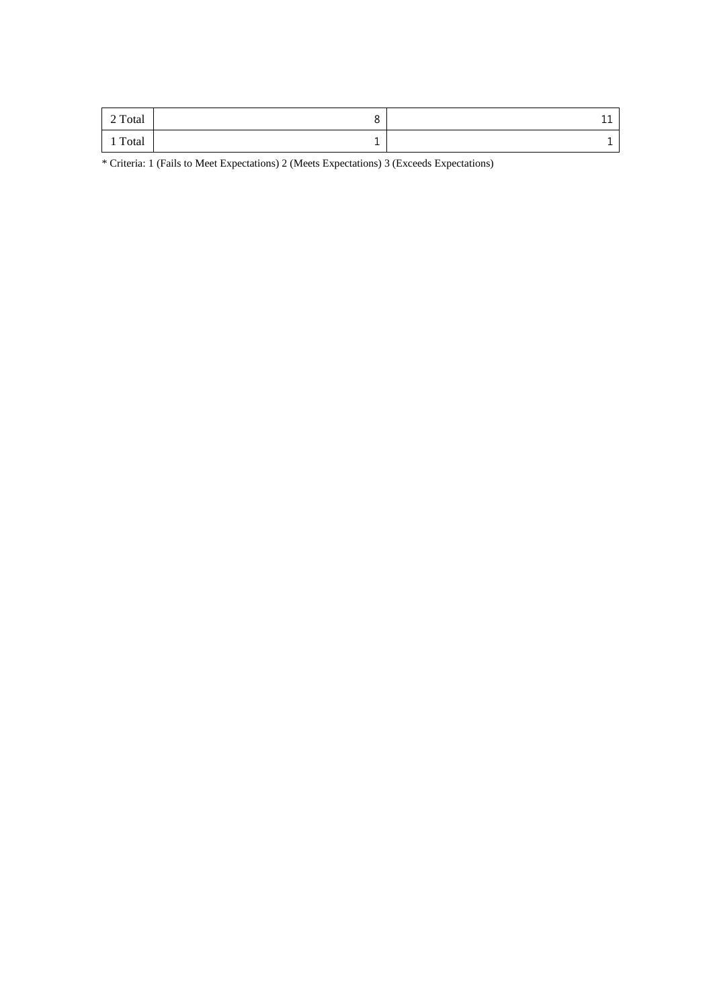| 2 Total | . . | -<br>-- |
|---------|-----|---------|
| 1 Total |     |         |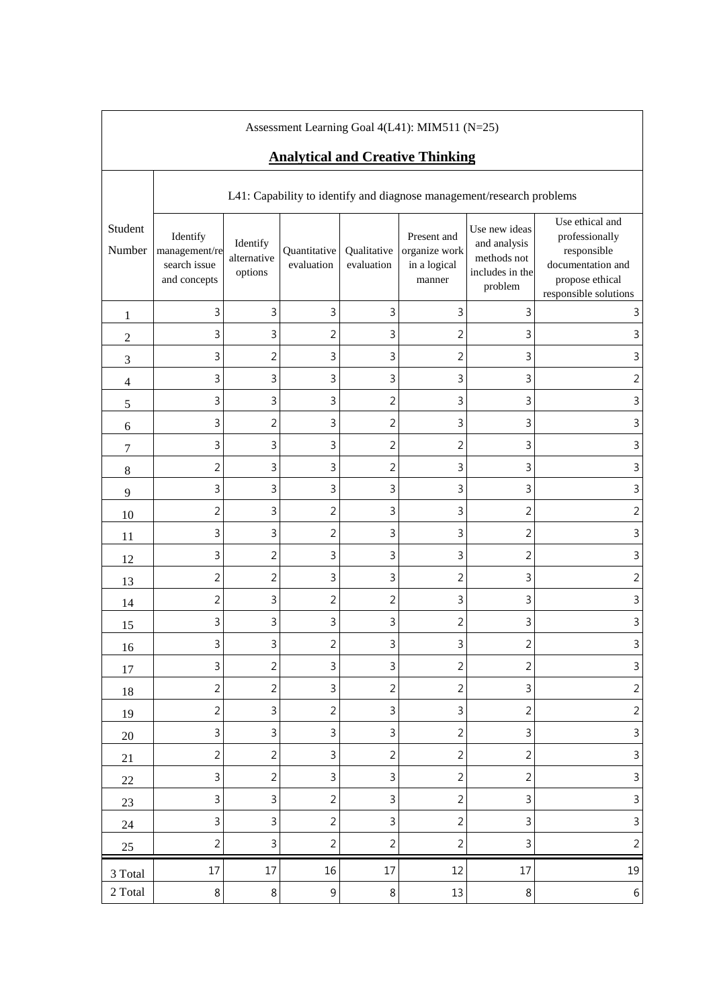| Assessment Learning Goal 4(L41): MIM511 (N=25)<br><b>Analytical and Creative Thinking</b> |                                                           |                                    |                            |                           |                                                        |                                                                            |                                                                                                                   |  |  |  |  |
|-------------------------------------------------------------------------------------------|-----------------------------------------------------------|------------------------------------|----------------------------|---------------------------|--------------------------------------------------------|----------------------------------------------------------------------------|-------------------------------------------------------------------------------------------------------------------|--|--|--|--|
| L41: Capability to identify and diagnose management/research problems                     |                                                           |                                    |                            |                           |                                                        |                                                                            |                                                                                                                   |  |  |  |  |
| Student<br>Number                                                                         | Identify<br>management/re<br>search issue<br>and concepts | Identify<br>alternative<br>options | Quantitative<br>evaluation | Qualitative<br>evaluation | Present and<br>organize work<br>in a logical<br>manner | Use new ideas<br>and analysis<br>methods not<br>includes in the<br>problem | Use ethical and<br>professionally<br>responsible<br>documentation and<br>propose ethical<br>responsible solutions |  |  |  |  |
| 1                                                                                         | 3                                                         | 3                                  | 3                          | 3                         | 3                                                      | 3                                                                          | 3                                                                                                                 |  |  |  |  |
| $\overline{2}$                                                                            | 3                                                         | 3                                  | $\overline{2}$             | 3                         | $\overline{2}$                                         | 3                                                                          | $\mathsf 3$                                                                                                       |  |  |  |  |
| 3                                                                                         | 3                                                         | $\overline{c}$                     | 3                          | 3                         | $\overline{2}$                                         | 3                                                                          | 3                                                                                                                 |  |  |  |  |
| $\overline{\mathcal{A}}$                                                                  | 3                                                         | 3                                  | 3                          | 3                         | 3                                                      | 3                                                                          | $\overline{2}$                                                                                                    |  |  |  |  |
| 5                                                                                         | 3                                                         | 3                                  | 3                          | $\overline{2}$            | 3                                                      | 3                                                                          | 3                                                                                                                 |  |  |  |  |
| $\sqrt{6}$                                                                                | 3                                                         | $\overline{2}$                     | $\mathsf{3}$               | $\overline{c}$            | 3                                                      | 3                                                                          | $\mathsf 3$                                                                                                       |  |  |  |  |
| 7                                                                                         | 3                                                         | 3                                  | 3                          | $\overline{c}$            | 2                                                      | 3                                                                          | $\mathbf{3}$                                                                                                      |  |  |  |  |
| 8                                                                                         | $\overline{2}$                                            | 3                                  | 3                          | $\overline{2}$            | 3                                                      | 3                                                                          | $\mathsf 3$                                                                                                       |  |  |  |  |
| 9                                                                                         | 3                                                         | 3                                  | 3                          | 3                         | 3                                                      | 3                                                                          | $\mathsf 3$                                                                                                       |  |  |  |  |
| 10                                                                                        | $\overline{2}$                                            | 3                                  | $\overline{2}$             | 3                         | 3                                                      | $\overline{2}$                                                             | $\overline{2}$                                                                                                    |  |  |  |  |
| 11                                                                                        | 3                                                         | 3                                  | $\overline{2}$             | 3                         | 3                                                      | $\overline{2}$                                                             | $\overline{3}$                                                                                                    |  |  |  |  |
| 12                                                                                        | 3                                                         | $\overline{2}$                     | 3                          | 3                         | 3                                                      | $\overline{2}$                                                             | $\overline{3}$                                                                                                    |  |  |  |  |
| 13                                                                                        | $\overline{2}$                                            | $\overline{2}$                     | 3                          | 3                         | 2                                                      | 3                                                                          | $\overline{2}$                                                                                                    |  |  |  |  |
| 14                                                                                        | $\overline{2}$                                            | 3                                  | $\overline{2}$             | $\overline{c}$            | 3                                                      | 3                                                                          | $\mathsf 3$                                                                                                       |  |  |  |  |
| 15                                                                                        | 3                                                         | 3                                  | $\mathsf{3}$               | 3                         | $\overline{c}$                                         | 3                                                                          | $\mathsf 3$                                                                                                       |  |  |  |  |
| 16                                                                                        | 3                                                         | ς<br>ر                             | $\overline{2}$             | 3                         | 3                                                      | $\overline{c}$                                                             | ς                                                                                                                 |  |  |  |  |
| 17                                                                                        | $\overline{3}$                                            | $\overline{2}$                     | 3                          | 3                         | $\overline{2}$                                         | 2                                                                          | $\mathbf{3}$                                                                                                      |  |  |  |  |
| 18                                                                                        | $\overline{2}$                                            | $\sqrt{2}$                         | 3                          | $\overline{2}$            | $\overline{2}$                                         | 3                                                                          | $\overline{2}$                                                                                                    |  |  |  |  |
| 19                                                                                        | $\overline{2}$                                            | 3                                  | $\overline{2}$             | 3                         | 3                                                      | $\sqrt{2}$                                                                 | $\overline{2}$                                                                                                    |  |  |  |  |
| 20                                                                                        | $\mathbf{3}$                                              | $\mathsf{3}$                       | 3                          | 3                         | $\overline{2}$                                         | 3                                                                          | $\mathsf{3}$                                                                                                      |  |  |  |  |
| 21                                                                                        | $\overline{2}$                                            | $\overline{2}$                     | 3                          | $\overline{2}$            | $\overline{2}$                                         | $\overline{2}$                                                             | $\mathsf{3}$                                                                                                      |  |  |  |  |
| 22                                                                                        | 3                                                         | $\overline{2}$                     | $\mathbf{3}$               | 3                         | $\overline{2}$                                         | $\overline{2}$                                                             | $\overline{3}$                                                                                                    |  |  |  |  |
| 23                                                                                        | $\mathbf{3}$                                              | 3                                  | $\overline{2}$             | 3                         | $\overline{2}$                                         | 3                                                                          | $\mathsf{3}$                                                                                                      |  |  |  |  |
| 24                                                                                        | $\mathbf{3}$                                              | 3                                  | $\overline{2}$             | 3                         | $\overline{2}$                                         | 3                                                                          | $\mathsf{3}$                                                                                                      |  |  |  |  |
| 25                                                                                        | $\overline{2}$                                            | 3                                  | $\overline{2}$             | $\overline{2}$            | $\overline{2}$                                         | 3                                                                          | $\overline{2}$                                                                                                    |  |  |  |  |
| 3 Total                                                                                   | $17\,$                                                    | 17                                 | 16                         | 17                        | 12                                                     | 17                                                                         | 19                                                                                                                |  |  |  |  |
| 2 Total                                                                                   | 8                                                         | $\,8\,$                            | 9                          | $\,8\,$                   | 13                                                     | $\,8\,$                                                                    | 6                                                                                                                 |  |  |  |  |